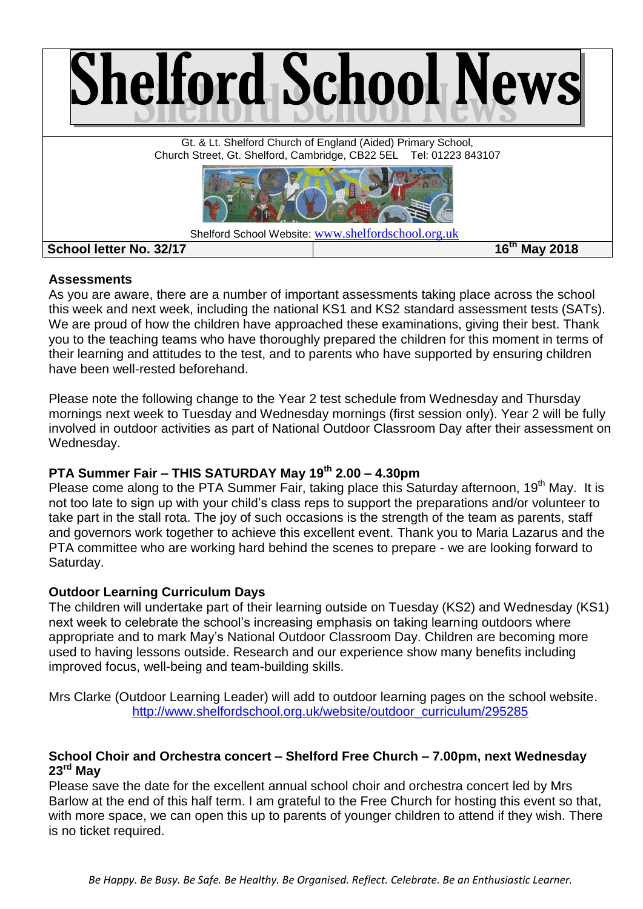

#### **Assessments**

As you are aware, there are a number of important assessments taking place across the school this week and next week, including the national KS1 and KS2 standard assessment tests (SATs). We are proud of how the children have approached these examinations, giving their best. Thank you to the teaching teams who have thoroughly prepared the children for this moment in terms of their learning and attitudes to the test, and to parents who have supported by ensuring children have been well-rested beforehand.

Please note the following change to the Year 2 test schedule from Wednesday and Thursday mornings next week to Tuesday and Wednesday mornings (first session only). Year 2 will be fully involved in outdoor activities as part of National Outdoor Classroom Day after their assessment on Wednesday.

# **PTA Summer Fair – THIS SATURDAY May 19th 2.00 – 4.30pm**

Please come along to the PTA Summer Fair, taking place this Saturday afternoon, 19<sup>th</sup> May. It is not too late to sign up with your child's class reps to support the preparations and/or volunteer to take part in the stall rota. The joy of such occasions is the strength of the team as parents, staff and governors work together to achieve this excellent event. Thank you to Maria Lazarus and the PTA committee who are working hard behind the scenes to prepare - we are looking forward to Saturday.

# **Outdoor Learning Curriculum Days**

The children will undertake part of their learning outside on Tuesday (KS2) and Wednesday (KS1) next week to celebrate the school's increasing emphasis on taking learning outdoors where appropriate and to mark May's National Outdoor Classroom Day. Children are becoming more used to having lessons outside. Research and our experience show many benefits including improved focus, well-being and team-building skills.

Mrs Clarke (Outdoor Learning Leader) will add to outdoor learning pages on the school website. [http://www.shelfordschool.org.uk/website/outdoor\\_curriculum/295285](http://www.shelfordschool.org.uk/website/outdoor_curriculum/295285)

### **School Choir and Orchestra concert – Shelford Free Church – 7.00pm, next Wednesday 23rd May**

Please save the date for the excellent annual school choir and orchestra concert led by Mrs Barlow at the end of this half term. I am grateful to the Free Church for hosting this event so that, with more space, we can open this up to parents of younger children to attend if they wish. There is no ticket required.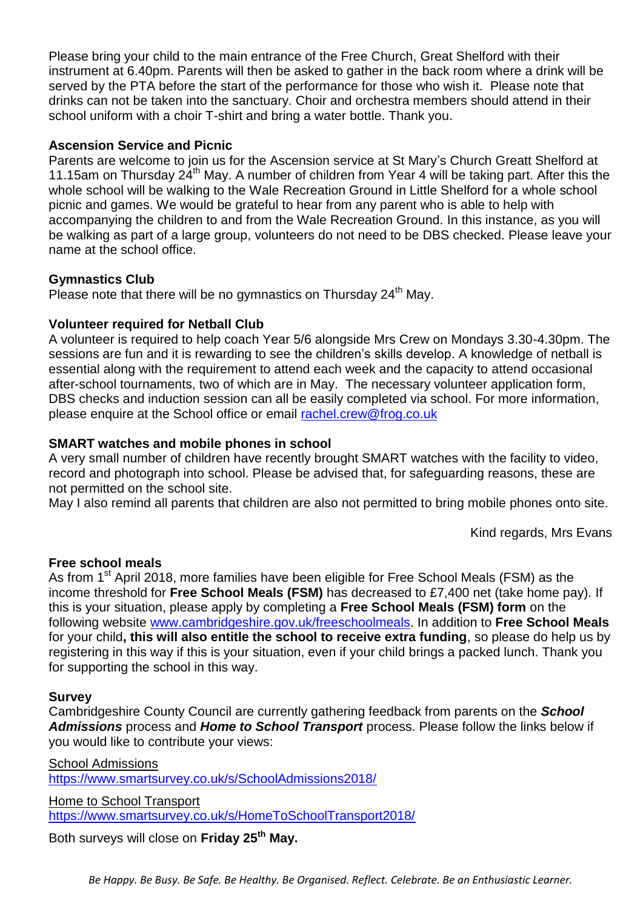Please bring your child to the main entrance of the Free Church, Great Shelford with their instrument at 6.40pm. Parents will then be asked to gather in the back room where a drink will be served by the PTA before the start of the performance for those who wish it. Please note that drinks can not be taken into the sanctuary. Choir and orchestra members should attend in their school uniform with a choir T-shirt and bring a water bottle. Thank you.

## **Ascension Service and Picnic**

Parents are welcome to join us for the Ascension service at St Mary's Church Greatt Shelford at 11.15am on Thursday  $24<sup>th</sup>$  May. A number of children from Year 4 will be taking part. After this the whole school will be walking to the Wale Recreation Ground in Little Shelford for a whole school picnic and games. We would be grateful to hear from any parent who is able to help with accompanying the children to and from the Wale Recreation Ground. In this instance, as you will be walking as part of a large group, volunteers do not need to be DBS checked. Please leave your name at the school office.

### **Gymnastics Club**

Please note that there will be no gymnastics on Thursday  $24<sup>th</sup>$  May.

### **Volunteer required for Netball Club**

A volunteer is required to help coach Year 5/6 alongside Mrs Crew on Mondays 3.30-4.30pm. The sessions are fun and it is rewarding to see the children's skills develop. A knowledge of netball is essential along with the requirement to attend each week and the capacity to attend occasional after-school tournaments, two of which are in May. The necessary volunteer application form, DBS checks and induction session can all be easily completed via school. For more information, please enquire at the School office or email [rachel.crew@frog.co.uk](mailto:rachel.crew@frog.co.uk)

### **SMART watches and mobile phones in school**

A very small number of children have recently brought SMART watches with the facility to video, record and photograph into school. Please be advised that, for safeguarding reasons, these are not permitted on the school site.

May I also remind all parents that children are also not permitted to bring mobile phones onto site.

Kind regards, Mrs Evans

#### **Free school meals**

As from 1<sup>st</sup> April 2018, more families have been eligible for Free School Meals (FSM) as the income threshold for **Free School Meals (FSM)** has decreased to £7,400 net (take home pay). If this is your situation, please apply by completing a **Free School Meals (FSM) form** on the following website [www.cambridgeshire.gov.uk/freeschoolmeals.](http://www.cambridgeshire.gov.uk/freeschoolmeals) In addition to **Free School Meals**  for your child**, this will also entitle the school to receive extra funding**, so please do help us by registering in this way if this is your situation, even if your child brings a packed lunch. Thank you for supporting the school in this way.

#### **Survey**

Cambridgeshire County Council are currently gathering feedback from parents on the *School Admissions* process and *Home to School Transport* process. Please follow the links below if you would like to contribute your views:

School Admissions <https://www.smartsurvey.co.uk/s/SchoolAdmissions2018/>

Home to School Transport <https://www.smartsurvey.co.uk/s/HomeToSchoolTransport2018/>

Both surveys will close on **Friday 25th May.**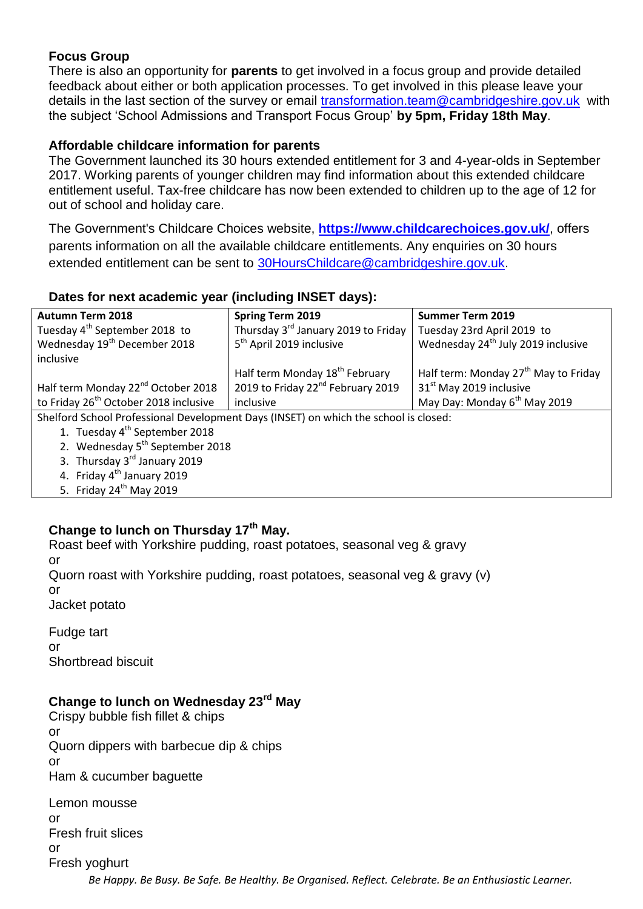# **Focus Group**

There is also an opportunity for **parents** to get involved in a focus group and provide detailed feedback about either or both application processes. To get involved in this please leave your details in the last section of the survey or email [transformation.team@cambridgeshire.gov.uk](mailto:transformation.team@cambridgeshire.gov.uk) with the subject 'School Admissions and Transport Focus Group' **by 5pm, Friday 18th May**.

# **Affordable childcare information for parents**

The Government launched its 30 hours extended entitlement for 3 and 4-year-olds in September 2017. Working parents of younger children may find information about this extended childcare entitlement useful. Tax-free childcare has now been extended to children up to the age of 12 for out of school and holiday care.

The Government's Childcare Choices website, **[https://www.childcarechoices.gov.uk/](http://r20.rs6.net/tn.jsp?f=001_I0kNjQe7oI_oiJcZBDjW0Q9bqWxP9kYOWV5X-vy2slfkQI5N3v0u_kPunapTREu9dYSlbNsUIAYBpW3igLc3D9p9CepyXi26W7PpCsrBr5dcPzMiiKnmxs_rooxDHYseEEG1ps4MINgfXb5I5wHcb1Z9nedD-iG0C_rtHUe6whZAFXXEtGNS9ZL-ynwAvI3&c=I_Ni75-cIOD1FB3_TfLNgLys5Xc4tz0o7o67QfbJq8ZFV7c2fHdaJQ==&ch=m0y01WoF2N4V090skAvl4ATMY_xbg87eRDPm29KImI2P9uPK8cYIaA==)**, offers parents information on all the available childcare entitlements. Any enquiries on 30 hours extended entitlement can be sent to [30HoursChildcare@cambridgeshire.gov.uk.](http://r20.rs6.net/tn.jsp?f=001_I0kNjQe7oI_oiJcZBDjW0Q9bqWxP9kYOWV5X-vy2slfkQI5N3v0u_kPunapTREusOQT6ZM2lx0dQ6B6pV1jYKCd0N05hAGkfBuZWpA_10FiofdsSZBbSBxsR4KzpQIAfAIJsJ0qtpK46FPedP7nMUwx6Yp7RqyPfIgjFmRj1Dn31P2-57ESuvTfzkRMtHyN2sI2v7-EAic=&c=I_Ni75-cIOD1FB3_TfLNgLys5Xc4tz0o7o67QfbJq8ZFV7c2fHdaJQ==&ch=m0y01WoF2N4V090skAvl4ATMY_xbg87eRDPm29KImI2P9uPK8cYIaA==)

# **Dates for next academic year (including INSET days):**

| <b>Autumn Term 2018</b>                                                              | <b>Spring Term 2019</b>                         | <b>Summer Term 2019</b>                          |  |  |  |
|--------------------------------------------------------------------------------------|-------------------------------------------------|--------------------------------------------------|--|--|--|
| Tuesday 4 <sup>th</sup> September 2018 to                                            | Thursday 3 <sup>rd</sup> January 2019 to Friday | Tuesday 23rd April 2019 to                       |  |  |  |
| Wednesday 19 <sup>th</sup> December 2018                                             | 5 <sup>th</sup> April 2019 inclusive            | Wednesday 24 <sup>th</sup> July 2019 inclusive   |  |  |  |
| inclusive                                                                            |                                                 |                                                  |  |  |  |
|                                                                                      | Half term Monday 18 <sup>th</sup> February      | Half term: Monday 27 <sup>th</sup> May to Friday |  |  |  |
| Half term Monday 22 <sup>nd</sup> October 2018                                       | 2019 to Friday 22 <sup>nd</sup> February 2019   | 31 <sup>st</sup> May 2019 inclusive              |  |  |  |
| to Friday 26 <sup>th</sup> October 2018 inclusive                                    | inclusive                                       | May Day: Monday 6 <sup>th</sup> May 2019         |  |  |  |
| Shelford School Professional Development Days (INSET) on which the school is closed: |                                                 |                                                  |  |  |  |
| 1. Tuesday 4 <sup>th</sup> September 2018                                            |                                                 |                                                  |  |  |  |
| 2. Wednesday 5 <sup>th</sup> September 2018                                          |                                                 |                                                  |  |  |  |
| 3. Thursday 3rd January 2019                                                         |                                                 |                                                  |  |  |  |
| 4. Friday 4 <sup>th</sup> January 2019                                               |                                                 |                                                  |  |  |  |
| 5. Friday $24th$ May 2019                                                            |                                                 |                                                  |  |  |  |

# **Change to lunch on Thursday 17th May.**

Roast beef with Yorkshire pudding, roast potatoes, seasonal veg & gravy or Quorn roast with Yorkshire pudding, roast potatoes, seasonal veg & gravy (v)

or

Jacket potato

Fudge tart or Shortbread biscuit

# **Change to lunch on Wednesday 23rd May**

Crispy bubble fish fillet & chips or Quorn dippers with barbecue dip & chips or Ham & cucumber baguette

*Be Happy. Be Busy. Be Safe. Be Healthy. Be Organised. Reflect. Celebrate. Be an Enthusiastic Learner.* Lemon mousse or Fresh fruit slices or Fresh yoghurt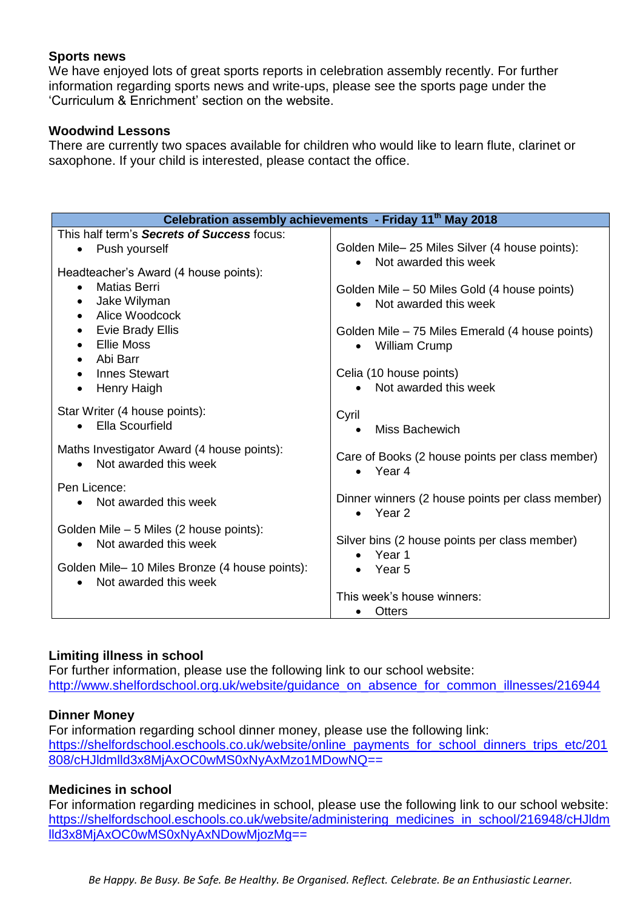## **Sports news**

We have enjoyed lots of great sports reports in celebration assembly recently. For further information regarding sports news and write-ups, please see the sports page under the 'Curriculum & Enrichment' section on the website.

#### **Woodwind Lessons**

There are currently two spaces available for children who would like to learn flute, clarinet or saxophone. If your child is interested, please contact the office.

| Celebration assembly achievements - Friday 11th May 2018                         |                                                                       |  |  |  |
|----------------------------------------------------------------------------------|-----------------------------------------------------------------------|--|--|--|
| This half term's Secrets of Success focus:                                       |                                                                       |  |  |  |
| Push yourself<br>$\bullet$                                                       | Golden Mile-25 Miles Silver (4 house points):                         |  |  |  |
| Headteacher's Award (4 house points):                                            | Not awarded this week                                                 |  |  |  |
| <b>Matias Berri</b>                                                              |                                                                       |  |  |  |
| Jake Wilyman<br>$\bullet$                                                        | Golden Mile – 50 Miles Gold (4 house points)<br>Not awarded this week |  |  |  |
| Alice Woodcock                                                                   |                                                                       |  |  |  |
| <b>Evie Brady Ellis</b>                                                          | Golden Mile - 75 Miles Emerald (4 house points)                       |  |  |  |
| <b>Ellie Moss</b>                                                                | <b>William Crump</b>                                                  |  |  |  |
| Abi Barr<br>$\bullet$                                                            |                                                                       |  |  |  |
| <b>Innes Stewart</b>                                                             | Celia (10 house points)                                               |  |  |  |
| <b>Henry Haigh</b>                                                               | • Not awarded this week                                               |  |  |  |
| Star Writer (4 house points):                                                    | Cyril                                                                 |  |  |  |
| Ella Scourfield<br>$\bullet$                                                     | Miss Bachewich<br>$\bullet$                                           |  |  |  |
|                                                                                  |                                                                       |  |  |  |
| Maths Investigator Award (4 house points):<br>Not awarded this week<br>$\bullet$ | Care of Books (2 house points per class member)                       |  |  |  |
|                                                                                  | $\bullet$ Year 4                                                      |  |  |  |
| Pen Licence:                                                                     |                                                                       |  |  |  |
| Not awarded this week<br>$\bullet$                                               | Dinner winners (2 house points per class member)<br>$\bullet$ Year 2  |  |  |  |
| Golden Mile - 5 Miles (2 house points):                                          |                                                                       |  |  |  |
| Not awarded this week                                                            | Silver bins (2 house points per class member)                         |  |  |  |
|                                                                                  | • Year 1                                                              |  |  |  |
| Golden Mile-10 Miles Bronze (4 house points):                                    | $\bullet$ Year 5                                                      |  |  |  |
| Not awarded this week                                                            |                                                                       |  |  |  |
|                                                                                  | This week's house winners:                                            |  |  |  |
|                                                                                  | <b>Otters</b>                                                         |  |  |  |

# **Limiting illness in school**

For further information, please use the following link to our school website: [http://www.shelfordschool.org.uk/website/guidance\\_on\\_absence\\_for\\_common\\_illnesses/216944](http://www.shelfordschool.org.uk/website/guidance_on_absence_for_common_illnesses/216944)

# **Dinner Money**

For information regarding school dinner money, please use the following link: [https://shelfordschool.eschools.co.uk/website/online\\_payments\\_for\\_school\\_dinners\\_trips\\_etc/201](https://shelfordschool.eschools.co.uk/website/online_payments_for_school_dinners_trips_etc/201808/cHJldmlld3x8MjAxOC0wMS0xNyAxMzo1MDowNQ) [808/cHJldmlld3x8MjAxOC0wMS0xNyAxMzo1MDowNQ=](https://shelfordschool.eschools.co.uk/website/online_payments_for_school_dinners_trips_etc/201808/cHJldmlld3x8MjAxOC0wMS0xNyAxMzo1MDowNQ)=

# **Medicines in school**

For information regarding medicines in school, please use the following link to our school website: [https://shelfordschool.eschools.co.uk/website/administering\\_medicines\\_in\\_school/216948/cHJldm](https://shelfordschool.eschools.co.uk/website/administering_medicines_in_school/216948/cHJldmlld3x8MjAxOC0wMS0xNyAxNDowMjozMg) [lld3x8MjAxOC0wMS0xNyAxNDowMjozMg=](https://shelfordschool.eschools.co.uk/website/administering_medicines_in_school/216948/cHJldmlld3x8MjAxOC0wMS0xNyAxNDowMjozMg)=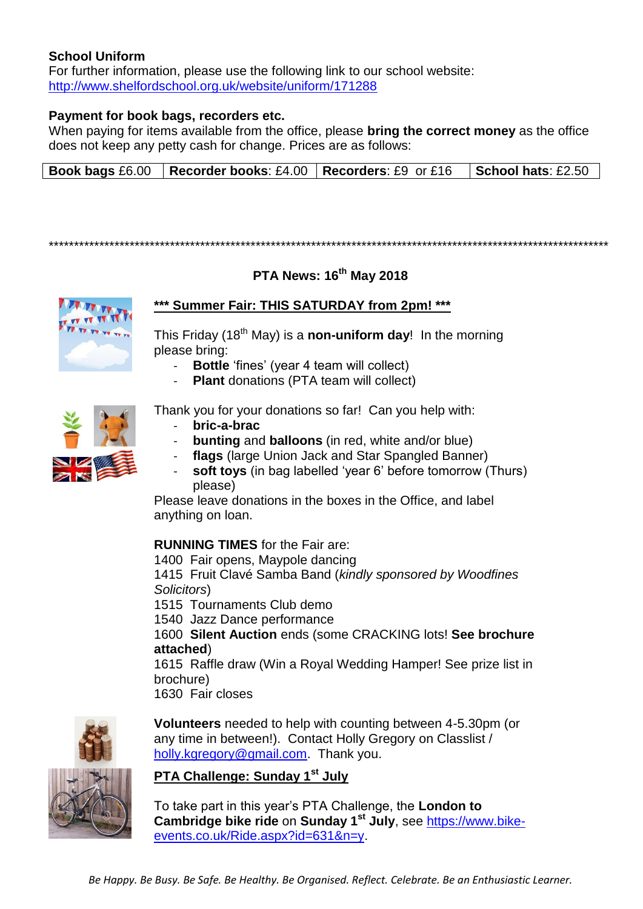## **School Uniform**

For further information, please use the following link to our school website: <http://www.shelfordschool.org.uk/website/uniform/171288>

#### **Payment for book bags, recorders etc.**

When paying for items available from the office, please **bring the correct money** as the office does not keep any petty cash for change. Prices are as follows:

| <b>Book bags</b> £6.00   Recorder books: £4.00   Recorders: £9 or £16   School hats: £2.50 |  |  |  |  |
|--------------------------------------------------------------------------------------------|--|--|--|--|
|--------------------------------------------------------------------------------------------|--|--|--|--|

\*\*\*\*\*\*\*\*\*\*\*\*\*\*\*\*\*\*\*\*\*\*\*\*\*\*\*\*\*\*\*\*\*\*\*\*\*\*\*\*\*\*\*\*\*\*\*\*\*\*\*\*\*\*\*\*\*\*\*\*\*\*\*\*\*\*\*\*\*\*\*\*\*\*\*\*\*\*\*\*\*\*\*\*\*\*\*\*\*\*\*\*\*\*\*\*\*\*\*\*\*\*\*\*\*\*\*\*\*\*\*

# **PTA News: 16th May 2018**



# **\*\*\* Summer Fair: THIS SATURDAY from 2pm! \*\*\***

This Friday (18th May) is a **non-uniform day**! In the morning please bring:

- **Bottle** 'fines' (year 4 team will collect)
- **Plant** donations (PTA team will collect)



Thank you for your donations so far! Can you help with:

- **bric-a-brac**
- **bunting** and **balloons** (in red, white and/or blue)
- flags (large Union Jack and Star Spangled Banner)
- soft toys (in bag labelled 'year 6' before tomorrow (Thurs) please)

Please leave donations in the boxes in the Office, and label anything on loan.

#### **RUNNING TIMES** for the Fair are:

1400 Fair opens, Maypole dancing

1415 Fruit Clavé Samba Band (*kindly sponsored by Woodfines Solicitors*)

1515 Tournaments Club demo

1540 Jazz Dance performance

1600 **Silent Auction** ends (some CRACKING lots! **See brochure attached**)

1615 Raffle draw (Win a Royal Wedding Hamper! See prize list in brochure)

1630 Fair closes



**Volunteers** needed to help with counting between 4-5.30pm (or any time in between!). Contact Holly Gregory on Classlist / [holly.kgregory@gmail.com.](mailto:holly.kgregory@gmail.com) Thank you.

#### **PTA Challenge: Sunday 1st July**

To take part in this year's PTA Challenge, the **London to Cambridge bike ride** on **Sunday 1st July**, see [https://www.bike](https://www.bike-events.co.uk/Ride.aspx?id=631&n=y)[events.co.uk/Ride.aspx?id=631&n=y.](https://www.bike-events.co.uk/Ride.aspx?id=631&n=y)